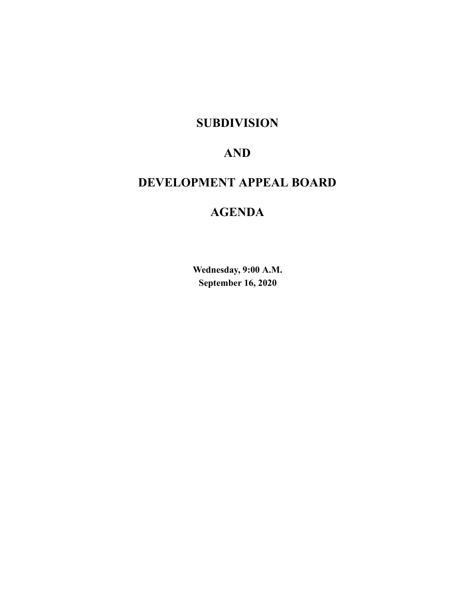# **SUBDIVISION**

# **AND**

# **DEVELOPMENT APPEAL BOARD**

# **AGENDA**

**Wednesday, 9:00 A.M. September 16, 2020**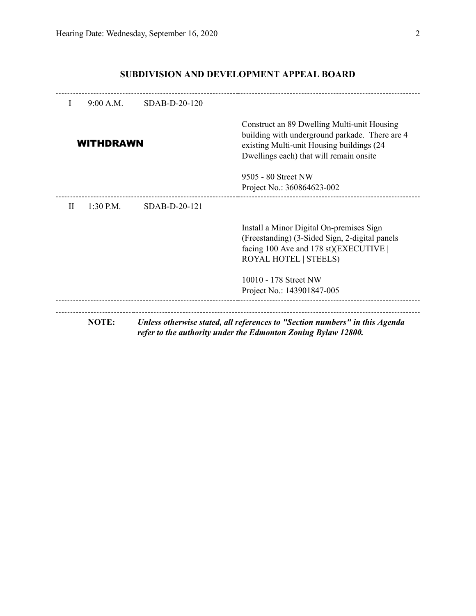| $\mathbf{I}$ | 9:00 A.M.   | SDAB-D-20-120 |                                                                                                                                                                                        |  |  |
|--------------|-------------|---------------|----------------------------------------------------------------------------------------------------------------------------------------------------------------------------------------|--|--|
|              | WITHDRAWN   |               | Construct an 89 Dwelling Multi-unit Housing<br>building with underground parkade. There are 4<br>existing Multi-unit Housing buildings (24)<br>Dwellings each) that will remain onsite |  |  |
|              |             |               | 9505 - 80 Street NW                                                                                                                                                                    |  |  |
|              |             |               | Project No.: 360864623-002                                                                                                                                                             |  |  |
| $\mathbf{H}$ | $1:30$ P.M. | SDAB-D-20-121 |                                                                                                                                                                                        |  |  |
|              |             |               | Install a Minor Digital On-premises Sign                                                                                                                                               |  |  |
|              |             |               | (Freestanding) (3-Sided Sign, 2-digital panels<br>facing 100 Ave and 178 st)(EXECUTIVE                                                                                                 |  |  |
|              |             |               | <b>ROYAL HOTEL   STEELS)</b>                                                                                                                                                           |  |  |
|              |             |               | 10010 - 178 Street NW                                                                                                                                                                  |  |  |
|              |             |               | Project No.: 143901847-005                                                                                                                                                             |  |  |

## **SUBDIVISION AND DEVELOPMENT APPEAL BOARD**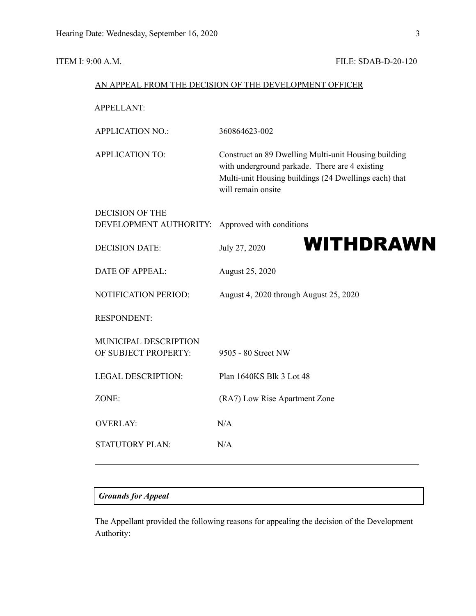## **ITEM I: 9:00 A.M. FILE: SDAB-D-20-120**

|                                               | AN APPEAL FROM THE DECISION OF THE DEVELOPMENT OFFICER                                                                                                                                |
|-----------------------------------------------|---------------------------------------------------------------------------------------------------------------------------------------------------------------------------------------|
| <b>APPELLANT:</b>                             |                                                                                                                                                                                       |
| <b>APPLICATION NO.:</b>                       | 360864623-002                                                                                                                                                                         |
| <b>APPLICATION TO:</b>                        | Construct an 89 Dwelling Multi-unit Housing building<br>with underground parkade. There are 4 existing<br>Multi-unit Housing buildings (24 Dwellings each) that<br>will remain onsite |
| <b>DECISION OF THE</b>                        |                                                                                                                                                                                       |
| DEVELOPMENT AUTHORITY:                        | Approved with conditions                                                                                                                                                              |
| <b>DECISION DATE:</b>                         | WITHDRAWN<br>July 27, 2020                                                                                                                                                            |
| <b>DATE OF APPEAL:</b>                        | August 25, 2020                                                                                                                                                                       |
| NOTIFICATION PERIOD:                          | August 4, 2020 through August 25, 2020                                                                                                                                                |
| <b>RESPONDENT:</b>                            |                                                                                                                                                                                       |
| MUNICIPAL DESCRIPTION<br>OF SUBJECT PROPERTY: | 9505 - 80 Street NW                                                                                                                                                                   |
| <b>LEGAL DESCRIPTION:</b>                     | Plan 1640KS Blk 3 Lot 48                                                                                                                                                              |
| ZONE:                                         | (RA7) Low Rise Apartment Zone                                                                                                                                                         |
| <b>OVERLAY:</b>                               | N/A                                                                                                                                                                                   |
| <b>STATUTORY PLAN:</b>                        | N/A                                                                                                                                                                                   |
|                                               |                                                                                                                                                                                       |

## *Grounds for Appeal*

The Appellant provided the following reasons for appealing the decision of the Development Authority: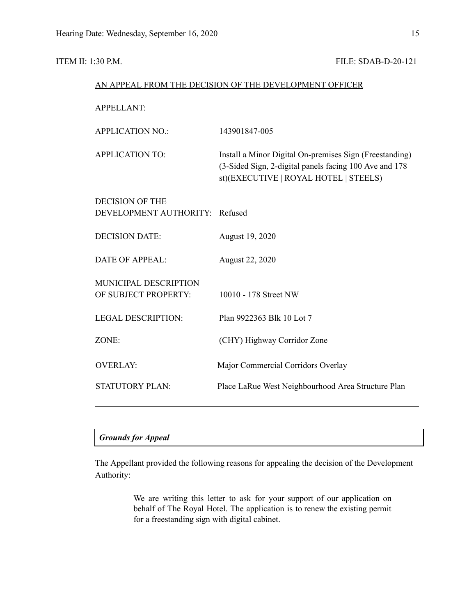### ITEM II: 1:30 P.M. FILE: SDAB-D-20-121

| AN APPEAL FROM THE DECISION OF THE DEVELOPMENT OFFICER                                                                                                     |  |  |
|------------------------------------------------------------------------------------------------------------------------------------------------------------|--|--|
|                                                                                                                                                            |  |  |
| 143901847-005                                                                                                                                              |  |  |
| Install a Minor Digital On-premises Sign (Freestanding)<br>(3-Sided Sign, 2-digital panels facing 100 Ave and 178<br>st)(EXECUTIVE   ROYAL HOTEL   STEELS) |  |  |
|                                                                                                                                                            |  |  |
| DEVELOPMENT AUTHORITY: Refused                                                                                                                             |  |  |
| August 19, 2020                                                                                                                                            |  |  |
| August 22, 2020                                                                                                                                            |  |  |
| 10010 - 178 Street NW                                                                                                                                      |  |  |
| Plan 9922363 Blk 10 Lot 7                                                                                                                                  |  |  |
| (CHY) Highway Corridor Zone                                                                                                                                |  |  |
| Major Commercial Corridors Overlay                                                                                                                         |  |  |
| Place LaRue West Neighbourhood Area Structure Plan                                                                                                         |  |  |
|                                                                                                                                                            |  |  |

## *Grounds for Appeal*

The Appellant provided the following reasons for appealing the decision of the Development Authority:

> We are writing this letter to ask for your support of our application on behalf of The Royal Hotel. The application is to renew the existing permit for a freestanding sign with digital cabinet.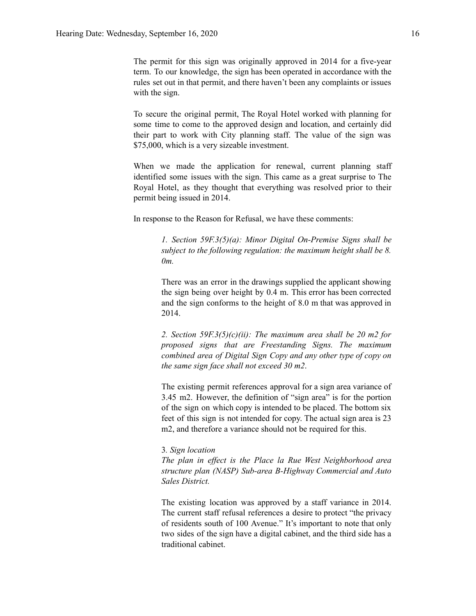The permit for this sign was originally approved in 2014 for a five-year term. To our knowledge, the sign has been operated in accordance with the rules set out in that permit, and there haven't been any complaints or issues with the sign.

To secure the original permit, The Royal Hotel worked with planning for some time to come to the approved design and location, and certainly did their part to work with City planning staff. The value of the sign was \$75,000, which is a very sizeable investment.

When we made the application for renewal, current planning staff identified some issues with the sign. This came as a great surprise to The Royal Hotel, as they thought that everything was resolved prior to their permit being issued in 2014.

In response to the Reason for Refusal, we have these comments:

*1. Section 59F.3(5)(a): Minor Digital On-Premise Signs shall be subject to the following regulation: the maximum height shall be 8. 0m.*

There was an error in the drawings supplied the applicant showing the sign being over height by 0.4 m. This error has been corrected and the sign conforms to the height of 8.0 m that was approved in 2014.

*2. Section 59F.3(5)(c)(ii): The maximum area shall be 20 m2 for proposed signs that are Freestanding Signs. The maximum combined area of Digital Sign Copy and any other type of copy on the same sign face shall not exceed 30 m2*.

The existing permit references approval for a sign area variance of 3.45 m2. However, the definition of "sign area" is for the portion of the sign on which copy is intended to be placed. The bottom six feet of this sign is not intended for copy. The actual sign area is 23 m2, and therefore a variance should not be required for this.

#### 3*. Sign location*

*The plan in ef ect is the Place la Rue West Neighborhood area structure plan (NASP) Sub-area B-Highway Commercial and Auto Sales District.*

The existing location was approved by a staff variance in 2014. The current staff refusal references a desire to protect "the privacy of residents south of 100 Avenue." It's important to note that only two sides of the sign have a digital cabinet, and the third side has a traditional cabinet.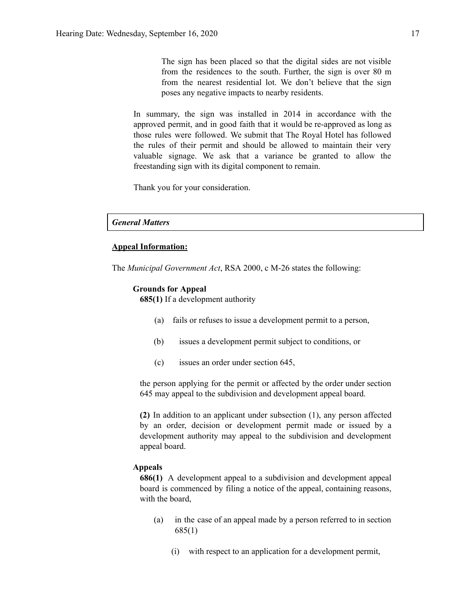The sign has been placed so that the digital sides are not visible from the residences to the south. Further, the sign is over 80 m from the nearest residential lot. We don't believe that the sign poses any negative impacts to nearby residents.

In summary, the sign was installed in 2014 in accordance with the approved permit, and in good faith that it would be re-approved as long as those rules were followed. We submit that The Royal Hotel has followed the rules of their permit and should be allowed to maintain their very valuable signage. We ask that a variance be granted to allow the freestanding sign with its digital component to remain.

Thank you for your consideration.

### *General Matters*

#### **Appeal Information:**

The *Municipal Government Act*, RSA 2000, c M-26 states the following:

#### **Grounds for Appeal**

**685(1)** If a development authority

- (a) fails or refuses to issue a development permit to a person,
- (b) issues a development permit subject to conditions, or
- (c) issues an order under section 645,

the person applying for the permit or affected by the order under section 645 may appeal to the subdivision and development appeal board.

**(2)** In addition to an applicant under subsection (1), any person affected by an order, decision or development permit made or issued by a development authority may appeal to the subdivision and development appeal board.

#### **Appeals**

**686(1)** A development appeal to a subdivision and development appeal board is commenced by filing a notice of the appeal, containing reasons, with the board,

- (a) in the case of an appeal made by a person referred to in section 685(1)
	- (i) with respect to an application for a development permit,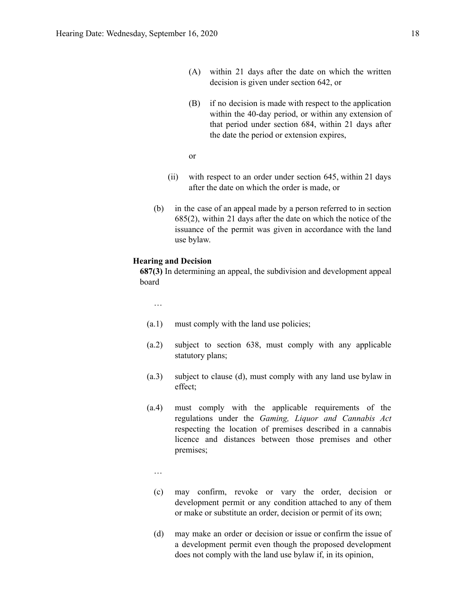- (A) within 21 days after the date on which the written decision is given under section 642, or
- (B) if no decision is made with respect to the application within the 40-day period, or within any extension of that period under section 684, within 21 days after the date the period or extension expires,
- or
- (ii) with respect to an order under section 645, within 21 days after the date on which the order is made, or
- (b) in the case of an appeal made by a person referred to in section 685(2), within 21 days after the date on which the notice of the issuance of the permit was given in accordance with the land use bylaw.

#### **Hearing and Decision**

**687(3)** In determining an appeal, the subdivision and development appeal board

…

- (a.1) must comply with the land use policies;
- (a.2) subject to section 638, must comply with any applicable statutory plans;
- (a.3) subject to clause (d), must comply with any land use bylaw in effect;
- (a.4) must comply with the applicable requirements of the regulations under the *Gaming, Liquor and Cannabis Act* respecting the location of premises described in a cannabis licence and distances between those premises and other premises;
	- …
	- (c) may confirm, revoke or vary the order, decision or development permit or any condition attached to any of them or make or substitute an order, decision or permit of its own;
	- (d) may make an order or decision or issue or confirm the issue of a development permit even though the proposed development does not comply with the land use bylaw if, in its opinion,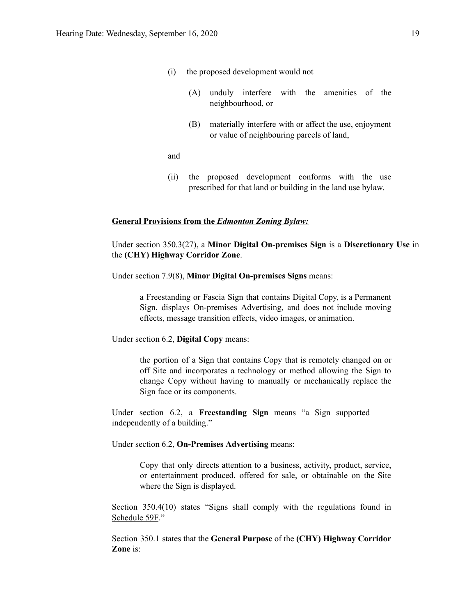- (i) the proposed development would not
	- (A) unduly interfere with the amenities of the neighbourhood, or
	- (B) materially interfere with or affect the use, enjoyment or value of neighbouring parcels of land,

and

(ii) the proposed development conforms with the use prescribed for that land or building in the land use bylaw.

#### **General Provisions from the** *Edmonton Zoning Bylaw:*

Under section 350.3(27), a **Minor Digital On-premises Sign** is a **Discretionary Use** in the **(CHY) Highway Corridor Zone**.

Under section 7.9(8), **Minor Digital On-premises Signs** means:

a Freestanding or Fascia Sign that contains Digital Copy, is a Permanent Sign, displays On-premises Advertising, and does not include moving effects, message transition effects, video images, or animation.

Under section 6.2, **Digital Copy** means:

the portion of a Sign that contains Copy that is remotely changed on or off Site and incorporates a technology or method allowing the Sign to change Copy without having to manually or mechanically replace the Sign face or its components.

Under section 6.2, a **Freestanding Sign** means "a Sign supported independently of a building."

Under section 6.2, **On-Premises Advertising** means:

Copy that only directs attention to a business, activity, product, service, or entertainment produced, offered for sale, or obtainable on the Site where the Sign is displayed.

Section 350.4(10) states "Signs shall comply with the regulations found in Schedule 59F."

Section 350.1 states that the **General Purpose** of the **(CHY) Highway Corridor Zone** is: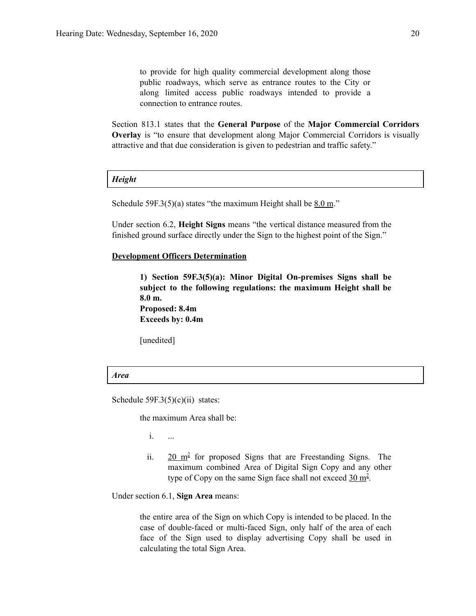to provide for high quality commercial development along those public roadways, which serve as entrance routes to the City or along limited access public roadways intended to provide a connection to entrance routes.

Section 813.1 states that the **General Purpose** of the **Major Commercial Corridors Overlay** is "to ensure that development along Major Commercial Corridors is visually attractive and that due consideration is given to pedestrian and traffic safety."

### *Height*

Schedule 59F.3(5)(a) states "the maximum Height shall be  $8.0 \text{ m}$ ."

Under section 6.2, **Height Signs** means "the vertical distance measured from the finished ground surface directly under the Sign to the highest point of the Sign."

#### **Development Officers Determination**

**1) Section 59F.3(5)(a): Minor Digital On-premises Signs shall be subject to the following regulations: the maximum Height shall be 8.0 m. Proposed: 8.4m Exceeds by: 0.4m**

[unedited]

#### *Area*

Schedule  $59F.3(5)(c)(ii)$  states:

the maximum Area shall be:

i. ...

ii.  $20 \text{ m}^2$  for proposed Signs that are Freestanding Signs. The maximum combined Area of Digital Sign Copy and any other type of Copy on the same Sign face shall not exceed  $30 \text{ m}^2$ .

Under section 6.1, **Sign Area** means:

the entire area of the Sign on which Copy is intended to be placed. In the case of double-faced or multi-faced Sign, only half of the area of each face of the Sign used to display advertising Copy shall be used in calculating the total Sign Area.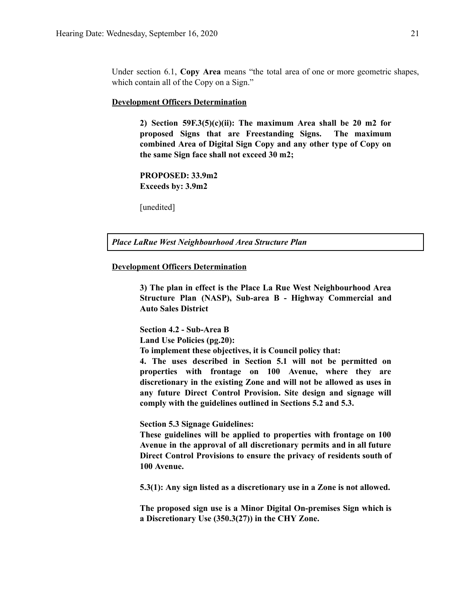Under section 6.1, **Copy Area** means "the total area of one or more geometric shapes, which contain all of the Copy on a Sign."

#### **Development Officers Determination**

**2) Section 59F.3(5)(c)(ii): The maximum Area shall be 20 m2 for proposed Signs that are Freestanding Signs. The maximum combined Area of Digital Sign Copy and any other type of Copy on the same Sign face shall not exceed 30 m2;**

**PROPOSED: 33.9m2 Exceeds by: 3.9m2**

[unedited]

*Place LaRue West Neighbourhood Area Structure Plan*

#### **Development Officers Determination**

**3) The plan in effect is the Place La Rue West Neighbourhood Area Structure Plan (NASP), Sub-area B - Highway Commercial and Auto Sales District**

**Section 4.2 - Sub-Area B**

**Land Use Policies (pg.20):**

**To implement these objectives, it is Council policy that:**

**4. The uses described in Section 5.1 will not be permitted on properties with frontage on 100 Avenue, where they are discretionary in the existing Zone and will not be allowed as uses in any future Direct Control Provision. Site design and signage will comply with the guidelines outlined in Sections 5.2 and 5.3.**

**Section 5.3 Signage Guidelines:**

**These guidelines will be applied to properties with frontage on 100 Avenue in the approval of all discretionary permits and in all future Direct Control Provisions to ensure the privacy of residents south of 100 Avenue.**

**5.3(1): Any sign listed as a discretionary use in a Zone is not allowed.**

**The proposed sign use is a Minor Digital On-premises Sign which is a Discretionary Use (350.3(27)) in the CHY Zone.**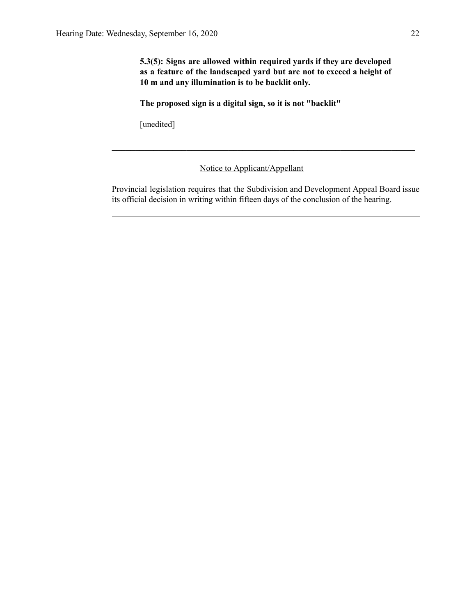**5.3(5): Signs are allowed within required yards if they are developed as a feature of the landscaped yard but are not to exceed a height of 10 m and any illumination is to be backlit only.**

**The proposed sign is a digital sign, so it is not "backlit"**

[unedited]

## Notice to Applicant/Appellant

Provincial legislation requires that the Subdivision and Development Appeal Board issue its official decision in writing within fifteen days of the conclusion of the hearing.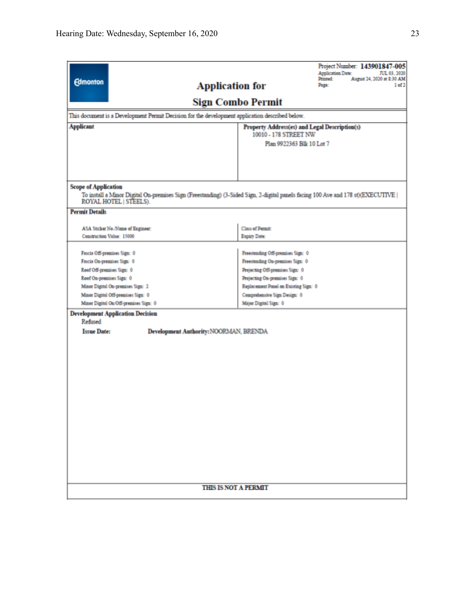| <b>Edmonton</b>                                    | <b>Application for</b>                                                                                                          | Project Number: 143901847-005<br><b>Application Date:</b><br>JUL 03, 2020<br>Printed:<br>August 24, 2020 at 8:30 AM<br>1 of 2<br>Page: |  |  |  |  |  |
|----------------------------------------------------|---------------------------------------------------------------------------------------------------------------------------------|----------------------------------------------------------------------------------------------------------------------------------------|--|--|--|--|--|
|                                                    | <b>Sign Combo Permit</b>                                                                                                        |                                                                                                                                        |  |  |  |  |  |
|                                                    | This document is a Development Permit Decision for the development application described below.                                 |                                                                                                                                        |  |  |  |  |  |
| <b>Applicant</b>                                   | Property Address(es) and Legal Description(s)                                                                                   |                                                                                                                                        |  |  |  |  |  |
|                                                    | 10010 - 178 STREET NW                                                                                                           |                                                                                                                                        |  |  |  |  |  |
|                                                    | Plan 9922363 Blk 10 Lot 7                                                                                                       |                                                                                                                                        |  |  |  |  |  |
|                                                    |                                                                                                                                 |                                                                                                                                        |  |  |  |  |  |
|                                                    |                                                                                                                                 |                                                                                                                                        |  |  |  |  |  |
|                                                    |                                                                                                                                 |                                                                                                                                        |  |  |  |  |  |
| <b>Scope of Application</b>                        |                                                                                                                                 |                                                                                                                                        |  |  |  |  |  |
| ROYAL HOTEL   STEELS).                             | To install a Minor Digital On-premises Sign (Freestanding) (3-Sided Sign, 2-digital panels facing 100 Ave and 178 st)(EXECUTIVE |                                                                                                                                        |  |  |  |  |  |
| <b>Permit Details</b>                              |                                                                                                                                 |                                                                                                                                        |  |  |  |  |  |
| ASA Sticker No./Name of Engineer:                  | Class of Permit:                                                                                                                |                                                                                                                                        |  |  |  |  |  |
| Construction Value: 15000                          | Expiry Date:                                                                                                                    |                                                                                                                                        |  |  |  |  |  |
|                                                    |                                                                                                                                 |                                                                                                                                        |  |  |  |  |  |
| Fascia Off-premises Sign: 0                        | Freestanding Off-premises Sign: 0                                                                                               |                                                                                                                                        |  |  |  |  |  |
| Fascia On-premises Sign: 0                         |                                                                                                                                 | Freestanding On-premises Sign: 0                                                                                                       |  |  |  |  |  |
| Roof Off-premises Sign: 0                          | Projecting Off-premises Sign: 0                                                                                                 |                                                                                                                                        |  |  |  |  |  |
| Roof On-premises Sign: 0                           | Projecting On-premises Sign: 0                                                                                                  |                                                                                                                                        |  |  |  |  |  |
| Minor Digital On-premises Sign: 2                  |                                                                                                                                 | Replacement Panel on Existing Sign: 0                                                                                                  |  |  |  |  |  |
| Minor Digital Off-premises Sign: 0                 | Comprehensive Sign Design: 0                                                                                                    |                                                                                                                                        |  |  |  |  |  |
| Minor Digital On/Off-premises Sign: 0              | Major Digital Sign: 0                                                                                                           |                                                                                                                                        |  |  |  |  |  |
| <b>Development Application Decision</b><br>Refused |                                                                                                                                 |                                                                                                                                        |  |  |  |  |  |
| <b>Issue Date:</b>                                 | Development Authority: NOORMAN, BRENDA                                                                                          |                                                                                                                                        |  |  |  |  |  |
|                                                    |                                                                                                                                 |                                                                                                                                        |  |  |  |  |  |
|                                                    |                                                                                                                                 |                                                                                                                                        |  |  |  |  |  |
|                                                    |                                                                                                                                 |                                                                                                                                        |  |  |  |  |  |
|                                                    |                                                                                                                                 |                                                                                                                                        |  |  |  |  |  |
|                                                    |                                                                                                                                 |                                                                                                                                        |  |  |  |  |  |
|                                                    |                                                                                                                                 |                                                                                                                                        |  |  |  |  |  |
|                                                    |                                                                                                                                 |                                                                                                                                        |  |  |  |  |  |
|                                                    |                                                                                                                                 |                                                                                                                                        |  |  |  |  |  |
|                                                    |                                                                                                                                 |                                                                                                                                        |  |  |  |  |  |
|                                                    |                                                                                                                                 |                                                                                                                                        |  |  |  |  |  |
|                                                    |                                                                                                                                 |                                                                                                                                        |  |  |  |  |  |
|                                                    |                                                                                                                                 |                                                                                                                                        |  |  |  |  |  |
|                                                    |                                                                                                                                 |                                                                                                                                        |  |  |  |  |  |
|                                                    |                                                                                                                                 |                                                                                                                                        |  |  |  |  |  |
|                                                    |                                                                                                                                 |                                                                                                                                        |  |  |  |  |  |
|                                                    |                                                                                                                                 |                                                                                                                                        |  |  |  |  |  |
| <b>THIS IS NOT A PERMIT</b>                        |                                                                                                                                 |                                                                                                                                        |  |  |  |  |  |
|                                                    |                                                                                                                                 |                                                                                                                                        |  |  |  |  |  |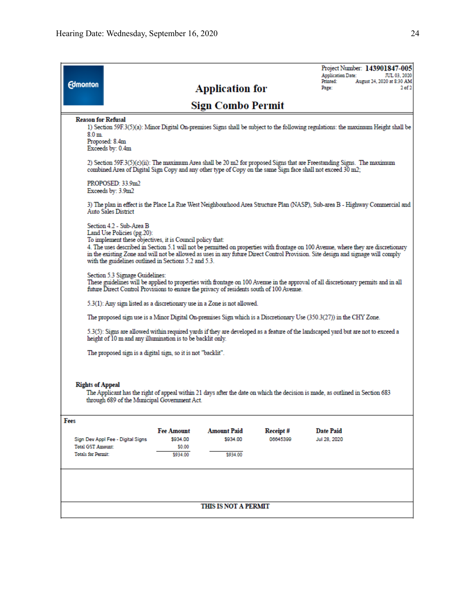| <b>Edmonton</b>                                                                                                                                                                                          |                                                                                                                                                                                                                                                                                                                                                                                                                                                        |                                                     | <b>Application for</b>                     |                      | Project Number: 143901847-005<br><b>Application Date:</b><br>JUL 03, 2020<br>Printed:<br>August 24, 2020 at 8:30 AM<br>2 of 2<br>Page: |  |  |  |
|----------------------------------------------------------------------------------------------------------------------------------------------------------------------------------------------------------|--------------------------------------------------------------------------------------------------------------------------------------------------------------------------------------------------------------------------------------------------------------------------------------------------------------------------------------------------------------------------------------------------------------------------------------------------------|-----------------------------------------------------|--------------------------------------------|----------------------|----------------------------------------------------------------------------------------------------------------------------------------|--|--|--|
|                                                                                                                                                                                                          |                                                                                                                                                                                                                                                                                                                                                                                                                                                        |                                                     | <b>Sign Combo Permit</b>                   |                      |                                                                                                                                        |  |  |  |
| <b>Reason for Refusal</b><br>8.0 <sub>m</sub>                                                                                                                                                            | Proposed: 8.4m<br>Exceeds by: 0.4m                                                                                                                                                                                                                                                                                                                                                                                                                     |                                                     |                                            |                      | 1) Section 59F.3(5)(a): Minor Digital On-premises Signs shall be subject to the following regulations: the maximum Height shall be     |  |  |  |
|                                                                                                                                                                                                          | 2) Section 59F.3(5)(c)(ii): The maximum Area shall be 20 m2 for proposed Signs that are Freestanding Signs. The maximum<br>combined Area of Digital Sign Copy and any other type of Copy on the same Sign face shall not exceed 30 m2;                                                                                                                                                                                                                 |                                                     |                                            |                      |                                                                                                                                        |  |  |  |
|                                                                                                                                                                                                          | PROPOSED: 33.9m2<br>Exceeds by: 3.9m2                                                                                                                                                                                                                                                                                                                                                                                                                  |                                                     |                                            |                      |                                                                                                                                        |  |  |  |
|                                                                                                                                                                                                          | 3) The plan in effect is the Place La Rue West Neighbourhood Area Structure Plan (NASP), Sub-area B - Highway Commercial and<br><b>Auto Sales District</b>                                                                                                                                                                                                                                                                                             |                                                     |                                            |                      |                                                                                                                                        |  |  |  |
|                                                                                                                                                                                                          | Section 4.2 - Sub-Area B<br>Land Use Policies (pg.20):<br>To implement these objectives, it is Council policy that:<br>4. The uses described in Section 5.1 will not be permitted on properties with frontage on 100 Avenue, where they are discretionary<br>in the existing Zone and will not be allowed as uses in any future Direct Control Provision. Site design and signage will comply<br>with the guidelines outlined in Sections 5.2 and 5.3. |                                                     |                                            |                      |                                                                                                                                        |  |  |  |
|                                                                                                                                                                                                          | Section 5.3 Signage Guidelines:<br>These guidelines will be applied to properties with frontage on 100 Avenue in the approval of all discretionary permits and in all<br>future Direct Control Provisions to ensure the privacy of residents south of 100 Avenue.                                                                                                                                                                                      |                                                     |                                            |                      |                                                                                                                                        |  |  |  |
|                                                                                                                                                                                                          | 5.3(1): Any sign listed as a discretionary use in a Zone is not allowed.                                                                                                                                                                                                                                                                                                                                                                               |                                                     |                                            |                      |                                                                                                                                        |  |  |  |
|                                                                                                                                                                                                          | The proposed sign use is a Minor Digital On-premises Sign which is a Discretionary Use (350.3(27)) in the CHY Zone.                                                                                                                                                                                                                                                                                                                                    |                                                     |                                            |                      |                                                                                                                                        |  |  |  |
|                                                                                                                                                                                                          | 5.3(5): Signs are allowed within required yards if they are developed as a feature of the landscaped yard but are not to exceed a<br>height of 10 m and any illumination is to be backlit only.                                                                                                                                                                                                                                                        |                                                     |                                            |                      |                                                                                                                                        |  |  |  |
|                                                                                                                                                                                                          | The proposed sign is a digital sign, so it is not "backlit".                                                                                                                                                                                                                                                                                                                                                                                           |                                                     |                                            |                      |                                                                                                                                        |  |  |  |
| <b>Rights of Appeal</b><br>The Applicant has the right of appeal within 21 days after the date on which the decision is made, as outlined in Section 683<br>through 689 of the Municipal Government Act. |                                                                                                                                                                                                                                                                                                                                                                                                                                                        |                                                     |                                            |                      |                                                                                                                                        |  |  |  |
| Fees                                                                                                                                                                                                     |                                                                                                                                                                                                                                                                                                                                                                                                                                                        |                                                     |                                            |                      |                                                                                                                                        |  |  |  |
| <b>Total GST Amount:</b><br><b>Totals for Permit:</b>                                                                                                                                                    | Sign Dev Appl Fee - Digital Signs                                                                                                                                                                                                                                                                                                                                                                                                                      | <b>Fee Amount</b><br>\$934.00<br>\$0.00<br>\$934.00 | <b>Amount Paid</b><br>\$934.00<br>\$934.00 | Receipt#<br>06645399 | <b>Date Paid</b><br>Jul 28, 2020                                                                                                       |  |  |  |
|                                                                                                                                                                                                          |                                                                                                                                                                                                                                                                                                                                                                                                                                                        |                                                     |                                            |                      |                                                                                                                                        |  |  |  |
| THIS IS NOT A PERMIT                                                                                                                                                                                     |                                                                                                                                                                                                                                                                                                                                                                                                                                                        |                                                     |                                            |                      |                                                                                                                                        |  |  |  |
|                                                                                                                                                                                                          |                                                                                                                                                                                                                                                                                                                                                                                                                                                        |                                                     |                                            |                      |                                                                                                                                        |  |  |  |